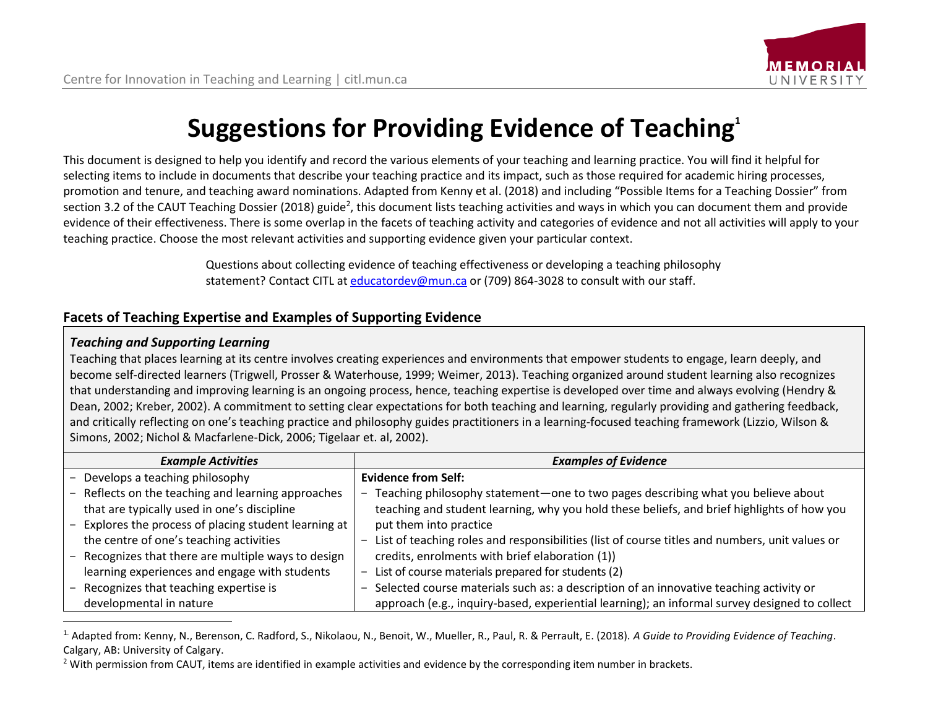# **Suggestions for Providing Evidence of Teaching<sup>1</sup>**

This document is designed to help you identify and record the various elements of your teaching and learning practice. You will find it helpful for selecting items to include in documents that describe your teaching practice and its impact, such as those required for academic hiring processes, promotion and tenure, and teaching award nominations. Adapted from Kenny et al. (2018) and including "Possible Items for a Teaching Dossier" from section 3.2 of the CAUT Teaching Dossier (2018) guide<sup>2</sup>, this document lists teaching activities and ways in which you can document them and provide evidence of their effectiveness. There is some overlap in the facets of teaching activity and categories of evidence and not all activities will apply to your teaching practice. Choose the most relevant activities and supporting evidence given your particular context.

> Questions about collecting evidence of teaching effectiveness or developing a teaching philosophy statement? Contact CITL at [educatordev@mun.ca](mailto:educatordev@mun.ca) or (709) 864-3028 to consult with our staff.

## **Facets of Teaching Expertise and Examples of Supporting Evidence**

#### *Teaching and Supporting Learning*

 $\overline{\phantom{a}}$ 

Teaching that places learning at its centre involves creating experiences and environments that empower students to engage, learn deeply, and become self-directed learners (Trigwell, Prosser & Waterhouse, 1999; Weimer, 2013). Teaching organized around student learning also recognizes that understanding and improving learning is an ongoing process, hence, teaching expertise is developed over time and always evolving (Hendry & Dean, 2002; Kreber, 2002). A commitment to setting clear expectations for both teaching and learning, regularly providing and gathering feedback, and critically reflecting on one's teaching practice and philosophy guides practitioners in a learning-focused teaching framework (Lizzio, Wilson & Simons, 2002; Nichol & Macfarlene-Dick, 2006; Tigelaar et. al, 2002).

| <b>Example Activities</b>                           | <b>Examples of Evidence</b>                                                                      |  |
|-----------------------------------------------------|--------------------------------------------------------------------------------------------------|--|
| Develops a teaching philosophy                      | <b>Evidence from Self:</b>                                                                       |  |
| Reflects on the teaching and learning approaches    | Teaching philosophy statement-one to two pages describing what you believe about                 |  |
| that are typically used in one's discipline         | teaching and student learning, why you hold these beliefs, and brief highlights of how you       |  |
| Explores the process of placing student learning at | put them into practice                                                                           |  |
| the centre of one's teaching activities             | - List of teaching roles and responsibilities (list of course titles and numbers, unit values or |  |
| Recognizes that there are multiple ways to design   | credits, enrolments with brief elaboration (1))                                                  |  |
| learning experiences and engage with students       | List of course materials prepared for students (2)                                               |  |
| Recognizes that teaching expertise is               | Selected course materials such as: a description of an innovative teaching activity or           |  |
| developmental in nature                             | approach (e.g., inquiry-based, experiential learning); an informal survey designed to collect    |  |

<sup>1.</sup> Adapted from: Kenny, N., Berenson, C. Radford, S., Nikolaou, N., Benoit, W., Mueller, R., Paul, R. & Perrault, E. (2018). *A Guide to Providing Evidence of Teaching*. Calgary, AB: University of Calgary.

<sup>&</sup>lt;sup>2</sup> With permission from CAUT, items are identified in example activities and evidence by the corresponding item number in brackets.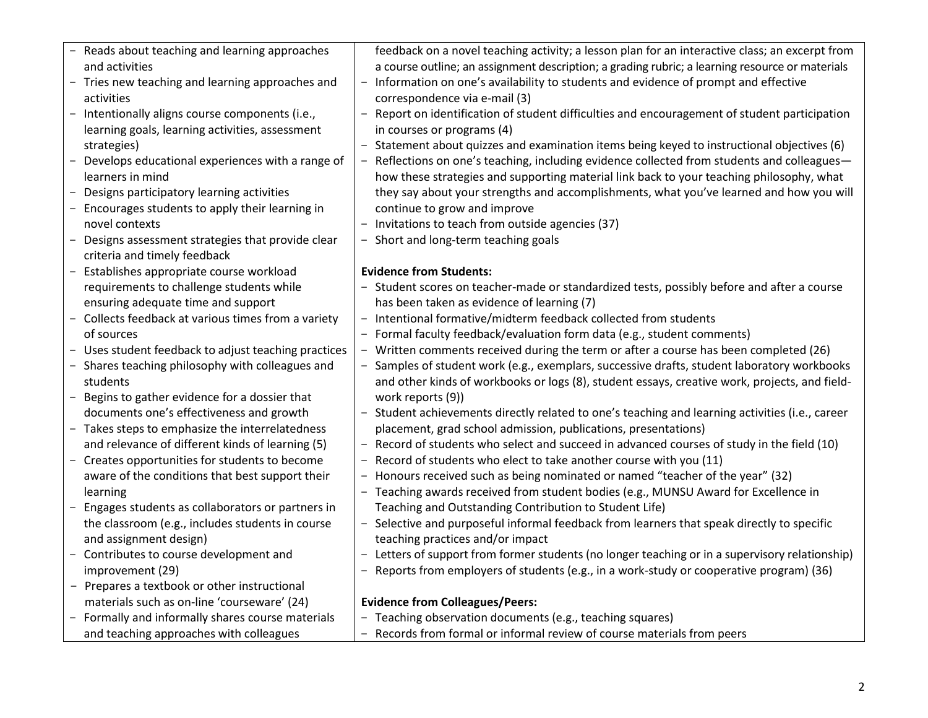| - Reads about teaching and learning approaches       | feedback on a novel teaching activity; a lesson plan for an interactive class; an excerpt from  |
|------------------------------------------------------|-------------------------------------------------------------------------------------------------|
| and activities                                       | a course outline; an assignment description; a grading rubric; a learning resource or materials |
| - Tries new teaching and learning approaches and     | - Information on one's availability to students and evidence of prompt and effective            |
| activities                                           | correspondence via e-mail (3)                                                                   |
| - Intentionally aligns course components (i.e.,      | - Report on identification of student difficulties and encouragement of student participation   |
| learning goals, learning activities, assessment      | in courses or programs (4)                                                                      |
| strategies)                                          | - Statement about quizzes and examination items being keyed to instructional objectives (6)     |
| - Develops educational experiences with a range of   | Reflections on one's teaching, including evidence collected from students and colleagues-       |
| learners in mind                                     | how these strategies and supporting material link back to your teaching philosophy, what        |
| - Designs participatory learning activities          | they say about your strengths and accomplishments, what you've learned and how you will         |
| - Encourages students to apply their learning in     | continue to grow and improve                                                                    |
| novel contexts                                       | - Invitations to teach from outside agencies (37)                                               |
| - Designs assessment strategies that provide clear   | - Short and long-term teaching goals                                                            |
| criteria and timely feedback                         |                                                                                                 |
| - Establishes appropriate course workload            | <b>Evidence from Students:</b>                                                                  |
|                                                      |                                                                                                 |
| requirements to challenge students while             | - Student scores on teacher-made or standardized tests, possibly before and after a course      |
| ensuring adequate time and support                   | has been taken as evidence of learning (7)                                                      |
| - Collects feedback at various times from a variety  | - Intentional formative/midterm feedback collected from students                                |
| of sources                                           | - Formal faculty feedback/evaluation form data (e.g., student comments)                         |
| - Uses student feedback to adjust teaching practices | Written comments received during the term or after a course has been completed (26)             |
| - Shares teaching philosophy with colleagues and     | Samples of student work (e.g., exemplars, successive drafts, student laboratory workbooks       |
| students                                             | and other kinds of workbooks or logs (8), student essays, creative work, projects, and field-   |
| - Begins to gather evidence for a dossier that       | work reports (9))                                                                               |
| documents one's effectiveness and growth             | - Student achievements directly related to one's teaching and learning activities (i.e., career |
| - Takes steps to emphasize the interrelatedness      | placement, grad school admission, publications, presentations)                                  |
| and relevance of different kinds of learning (5)     | - Record of students who select and succeed in advanced courses of study in the field (10)      |
| - Creates opportunities for students to become       | - Record of students who elect to take another course with you (11)                             |
| aware of the conditions that best support their      | - Honours received such as being nominated or named "teacher of the year" (32)                  |
| learning                                             | - Teaching awards received from student bodies (e.g., MUNSU Award for Excellence in             |
| - Engages students as collaborators or partners in   | Teaching and Outstanding Contribution to Student Life)                                          |
| the classroom (e.g., includes students in course     | - Selective and purposeful informal feedback from learners that speak directly to specific      |
| and assignment design)                               | teaching practices and/or impact                                                                |
| - Contributes to course development and              | - Letters of support from former students (no longer teaching or in a supervisory relationship) |
| improvement (29)                                     | Reports from employers of students (e.g., in a work-study or cooperative program) (36)          |
| - Prepares a textbook or other instructional         |                                                                                                 |
| materials such as on-line 'courseware' (24)          | <b>Evidence from Colleagues/Peers:</b>                                                          |
| - Formally and informally shares course materials    | Teaching observation documents (e.g., teaching squares)                                         |
| and teaching approaches with colleagues              | - Records from formal or informal review of course materials from peers                         |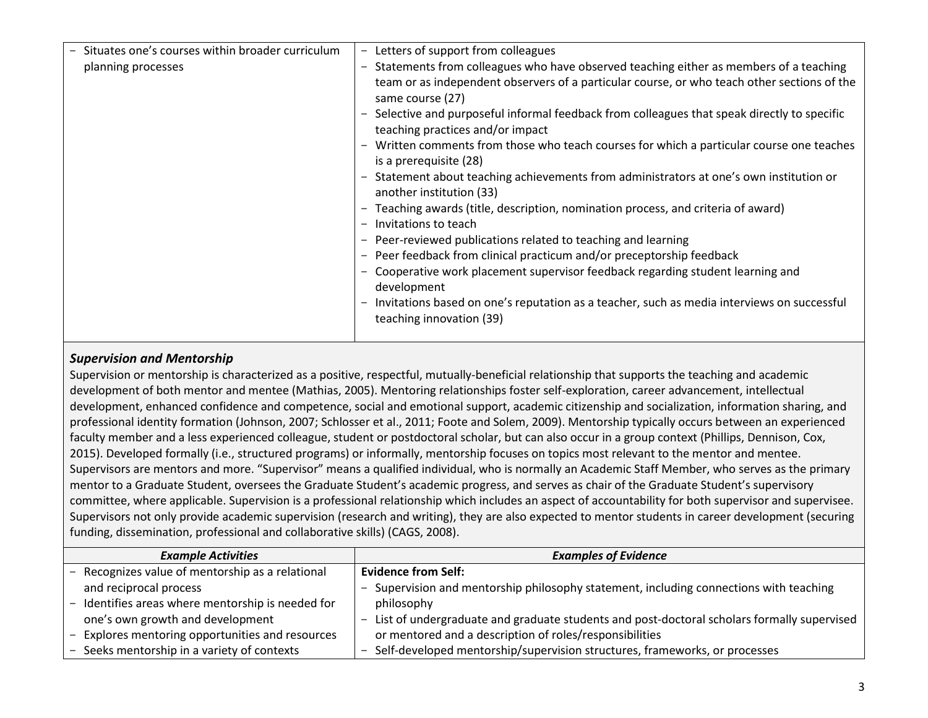| same course (27)<br>- Selective and purposeful informal feedback from colleagues that speak directly to specific<br>teaching practices and/or impact<br>is a prerequisite (28)<br>- Statement about teaching achievements from administrators at one's own institution or<br>another institution (33)<br>- Teaching awards (title, description, nomination process, and criteria of award)<br>Invitations to teach<br>Peer-reviewed publications related to teaching and learning<br>Peer feedback from clinical practicum and/or preceptorship feedback<br>Cooperative work placement supervisor feedback regarding student learning and<br>development<br>Invitations based on one's reputation as a teacher, such as media interviews on successful<br>teaching innovation (39) | - Situates one's courses within broader curriculum<br>planning processes | Letters of support from colleagues<br>Statements from colleagues who have observed teaching either as members of a teaching<br>team or as independent observers of a particular course, or who teach other sections of the<br>- Written comments from those who teach courses for which a particular course one teaches |
|------------------------------------------------------------------------------------------------------------------------------------------------------------------------------------------------------------------------------------------------------------------------------------------------------------------------------------------------------------------------------------------------------------------------------------------------------------------------------------------------------------------------------------------------------------------------------------------------------------------------------------------------------------------------------------------------------------------------------------------------------------------------------------|--------------------------------------------------------------------------|-------------------------------------------------------------------------------------------------------------------------------------------------------------------------------------------------------------------------------------------------------------------------------------------------------------------------|
|------------------------------------------------------------------------------------------------------------------------------------------------------------------------------------------------------------------------------------------------------------------------------------------------------------------------------------------------------------------------------------------------------------------------------------------------------------------------------------------------------------------------------------------------------------------------------------------------------------------------------------------------------------------------------------------------------------------------------------------------------------------------------------|--------------------------------------------------------------------------|-------------------------------------------------------------------------------------------------------------------------------------------------------------------------------------------------------------------------------------------------------------------------------------------------------------------------|

#### *Supervision and Mentorship*

Supervision or mentorship is characterized as a positive, respectful, mutually-beneficial relationship that supports the teaching and academic development of both mentor and mentee (Mathias, 2005). Mentoring relationships foster self-exploration, career advancement, intellectual development, enhanced confidence and competence, social and emotional support, academic citizenship and socialization, information sharing, and professional identity formation (Johnson, 2007; Schlosser et al., 2011; Foote and Solem, 2009). Mentorship typically occurs between an experienced faculty member and a less experienced colleague, student or postdoctoral scholar, but can also occur in a group context (Phillips, Dennison, Cox, 2015). Developed formally (i.e., structured programs) or informally, mentorship focuses on topics most relevant to the mentor and mentee. Supervisors are mentors and more. "Supervisor" means a qualified individual, who is normally an Academic Staff Member, who serves as the primary mentor to a Graduate Student, oversees the Graduate Student's academic progress, and serves as chair of the Graduate Student's supervisory committee, where applicable. Supervision is a professional relationship which includes an aspect of accountability for both supervisor and supervisee. Supervisors not only provide academic supervision (research and writing), they are also expected to mentor students in career development (securing funding, dissemination, professional and collaborative skills) (CAGS, 2008).

| <b>Example Activities</b>                         | <b>Examples of Evidence</b>                                                                  |
|---------------------------------------------------|----------------------------------------------------------------------------------------------|
| - Recognizes value of mentorship as a relational  | <b>Evidence from Self:</b>                                                                   |
| and reciprocal process                            | Supervision and mentorship philosophy statement, including connections with teaching         |
| - Identifies areas where mentorship is needed for | philosophy                                                                                   |
| one's own growth and development                  | - List of undergraduate and graduate students and post-doctoral scholars formally supervised |
| - Explores mentoring opportunities and resources  | or mentored and a description of roles/responsibilities                                      |
| - Seeks mentorship in a variety of contexts       | - Self-developed mentorship/supervision structures, frameworks, or processes                 |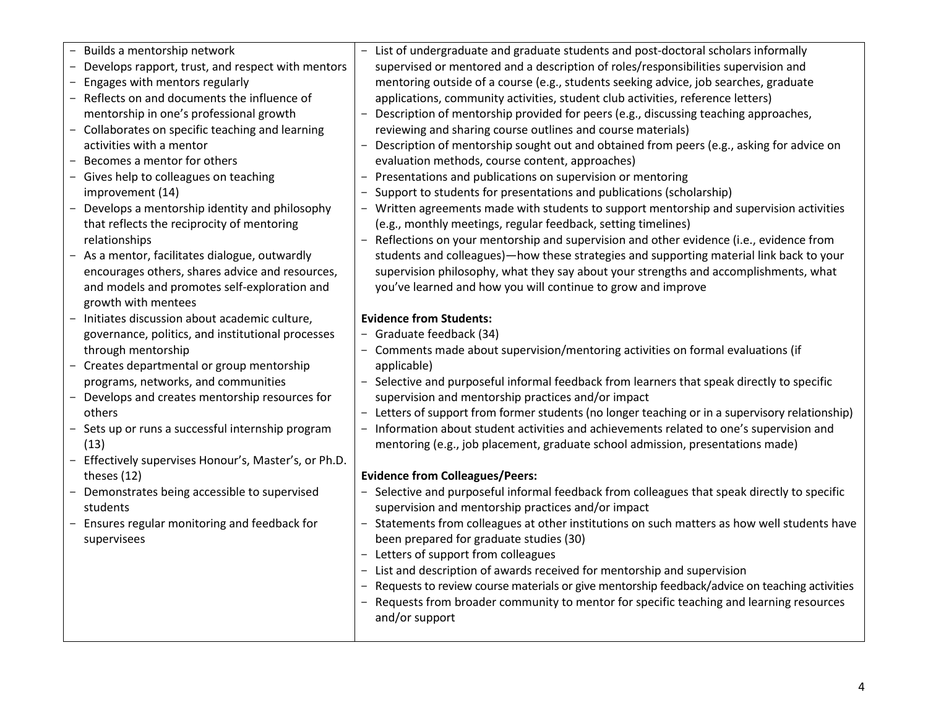| Builds a mentorship network<br>Develops rapport, trust, and respect with mentors<br>Engages with mentors regularly<br>Reflects on and documents the influence of<br>$\overline{\phantom{0}}$<br>mentorship in one's professional growth<br>- Collaborates on specific teaching and learning<br>activities with a mentor<br>Becomes a mentor for others<br>Gives help to colleagues on teaching<br>improvement (14)<br>Develops a mentorship identity and philosophy<br>that reflects the reciprocity of mentoring<br>relationships<br>- As a mentor, facilitates dialogue, outwardly<br>encourages others, shares advice and resources,<br>and models and promotes self-exploration and<br>growth with mentees<br>- Initiates discussion about academic culture,<br>governance, politics, and institutional processes<br>through mentorship<br>- Creates departmental or group mentorship<br>programs, networks, and communities<br>- Develops and creates mentorship resources for<br>others<br>- Sets up or runs a successful internship program<br>(13)<br>Effectively supervises Honour's, Master's, or Ph.D.<br>theses (12)<br>- Demonstrates being accessible to supervised<br>students<br>Ensures regular monitoring and feedback for<br>supervisees | List of undergraduate and graduate students and post-doctoral scholars informally<br>$-$<br>supervised or mentored and a description of roles/responsibilities supervision and<br>mentoring outside of a course (e.g., students seeking advice, job searches, graduate<br>applications, community activities, student club activities, reference letters)<br>- Description of mentorship provided for peers (e.g., discussing teaching approaches,<br>reviewing and sharing course outlines and course materials)<br>Description of mentorship sought out and obtained from peers (e.g., asking for advice on<br>$ \,$<br>evaluation methods, course content, approaches)<br>- Presentations and publications on supervision or mentoring<br>Support to students for presentations and publications (scholarship)<br>- Written agreements made with students to support mentorship and supervision activities<br>(e.g., monthly meetings, regular feedback, setting timelines)<br>- Reflections on your mentorship and supervision and other evidence (i.e., evidence from<br>students and colleagues)-how these strategies and supporting material link back to your<br>supervision philosophy, what they say about your strengths and accomplishments, what<br>you've learned and how you will continue to grow and improve<br><b>Evidence from Students:</b><br>- Graduate feedback (34)<br>- Comments made about supervision/mentoring activities on formal evaluations (if<br>applicable)<br>- Selective and purposeful informal feedback from learners that speak directly to specific<br>supervision and mentorship practices and/or impact<br>- Letters of support from former students (no longer teaching or in a supervisory relationship)<br>- Information about student activities and achievements related to one's supervision and<br>mentoring (e.g., job placement, graduate school admission, presentations made)<br><b>Evidence from Colleagues/Peers:</b><br>- Selective and purposeful informal feedback from colleagues that speak directly to specific<br>supervision and mentorship practices and/or impact<br>- Statements from colleagues at other institutions on such matters as how well students have<br>been prepared for graduate studies (30)<br>- Letters of support from colleagues<br>- List and description of awards received for mentorship and supervision<br>- Requests to review course materials or give mentorship feedback/advice on teaching activities<br>- Requests from broader community to mentor for specific teaching and learning resources |
|-------------------------------------------------------------------------------------------------------------------------------------------------------------------------------------------------------------------------------------------------------------------------------------------------------------------------------------------------------------------------------------------------------------------------------------------------------------------------------------------------------------------------------------------------------------------------------------------------------------------------------------------------------------------------------------------------------------------------------------------------------------------------------------------------------------------------------------------------------------------------------------------------------------------------------------------------------------------------------------------------------------------------------------------------------------------------------------------------------------------------------------------------------------------------------------------------------------------------------------------------------------|---------------------------------------------------------------------------------------------------------------------------------------------------------------------------------------------------------------------------------------------------------------------------------------------------------------------------------------------------------------------------------------------------------------------------------------------------------------------------------------------------------------------------------------------------------------------------------------------------------------------------------------------------------------------------------------------------------------------------------------------------------------------------------------------------------------------------------------------------------------------------------------------------------------------------------------------------------------------------------------------------------------------------------------------------------------------------------------------------------------------------------------------------------------------------------------------------------------------------------------------------------------------------------------------------------------------------------------------------------------------------------------------------------------------------------------------------------------------------------------------------------------------------------------------------------------------------------------------------------------------------------------------------------------------------------------------------------------------------------------------------------------------------------------------------------------------------------------------------------------------------------------------------------------------------------------------------------------------------------------------------------------------------------------------------------------------------------------------------------------------------------------------------------------------------------------------------------------------------------------------------------------------------------------------------------------------------------------------------------------------------------------------------------------------------------------------------------------------------------------------------------------------------------------------------------------------------------------------------|
|                                                                                                                                                                                                                                                                                                                                                                                                                                                                                                                                                                                                                                                                                                                                                                                                                                                                                                                                                                                                                                                                                                                                                                                                                                                             | and/or support                                                                                                                                                                                                                                                                                                                                                                                                                                                                                                                                                                                                                                                                                                                                                                                                                                                                                                                                                                                                                                                                                                                                                                                                                                                                                                                                                                                                                                                                                                                                                                                                                                                                                                                                                                                                                                                                                                                                                                                                                                                                                                                                                                                                                                                                                                                                                                                                                                                                                                                                                                                    |
|                                                                                                                                                                                                                                                                                                                                                                                                                                                                                                                                                                                                                                                                                                                                                                                                                                                                                                                                                                                                                                                                                                                                                                                                                                                             |                                                                                                                                                                                                                                                                                                                                                                                                                                                                                                                                                                                                                                                                                                                                                                                                                                                                                                                                                                                                                                                                                                                                                                                                                                                                                                                                                                                                                                                                                                                                                                                                                                                                                                                                                                                                                                                                                                                                                                                                                                                                                                                                                                                                                                                                                                                                                                                                                                                                                                                                                                                                   |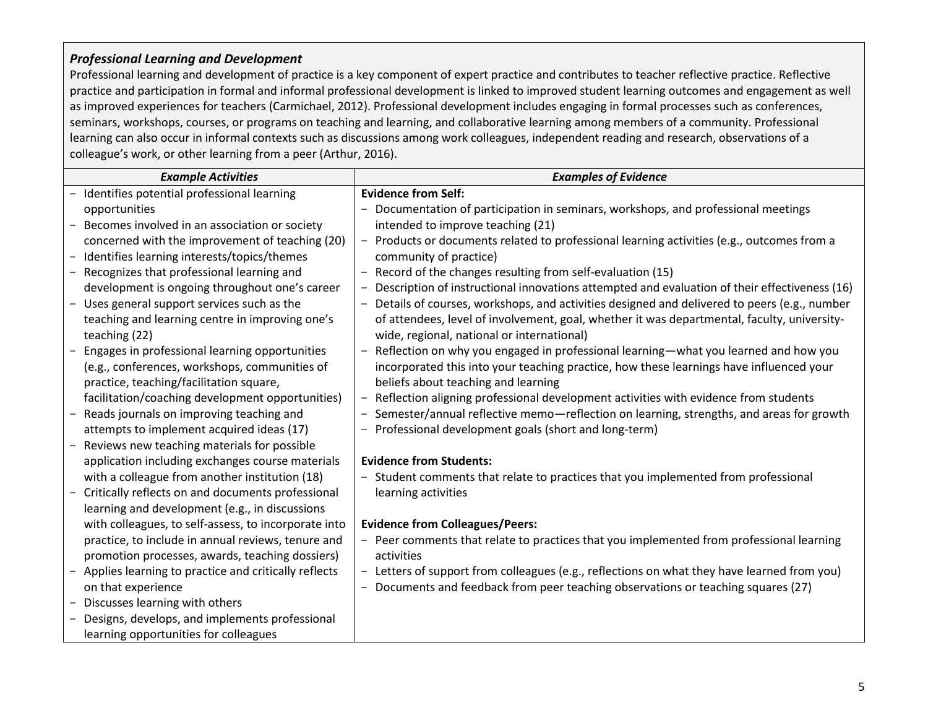#### *Professional Learning and Development*

Professional learning and development of practice is a key component of expert practice and contributes to teacher reflective practice. Reflective practice and participation in formal and informal professional development is linked to improved student learning outcomes and engagement as well as improved experiences for teachers (Carmichael, 2012). Professional development includes engaging in formal processes such as conferences, seminars, workshops, courses, or programs on teaching and learning, and collaborative learning among members of a community. Professional learning can also occur in informal contexts such as discussions among work colleagues, independent reading and research, observations of a colleague's work, or other learning from a peer (Arthur, 2016).

| <b>Example Activities</b>                            | <b>Examples of Evidence</b>                                                                                 |
|------------------------------------------------------|-------------------------------------------------------------------------------------------------------------|
| Identifies potential professional learning           | <b>Evidence from Self:</b>                                                                                  |
| opportunities                                        | - Documentation of participation in seminars, workshops, and professional meetings                          |
| Becomes involved in an association or society        | intended to improve teaching (21)                                                                           |
| concerned with the improvement of teaching (20)      | - Products or documents related to professional learning activities (e.g., outcomes from a                  |
| Identifies learning interests/topics/themes          | community of practice)                                                                                      |
| Recognizes that professional learning and            | - Record of the changes resulting from self-evaluation (15)                                                 |
| development is ongoing throughout one's career       | Description of instructional innovations attempted and evaluation of their effectiveness (16)               |
| Uses general support services such as the            | Details of courses, workshops, and activities designed and delivered to peers (e.g., number<br>$ \,$        |
| teaching and learning centre in improving one's      | of attendees, level of involvement, goal, whether it was departmental, faculty, university-                 |
| teaching (22)                                        | wide, regional, national or international)                                                                  |
| Engages in professional learning opportunities       | - Reflection on why you engaged in professional learning—what you learned and how you                       |
| (e.g., conferences, workshops, communities of        | incorporated this into your teaching practice, how these learnings have influenced your                     |
| practice, teaching/facilitation square,              | beliefs about teaching and learning                                                                         |
| facilitation/coaching development opportunities)     | - Reflection aligning professional development activities with evidence from students                       |
| Reads journals on improving teaching and             | - Semester/annual reflective memo-reflection on learning, strengths, and areas for growth                   |
| attempts to implement acquired ideas (17)            | - Professional development goals (short and long-term)                                                      |
| Reviews new teaching materials for possible          |                                                                                                             |
| application including exchanges course materials     | <b>Evidence from Students:</b>                                                                              |
| with a colleague from another institution (18)       | Student comments that relate to practices that you implemented from professional                            |
| Critically reflects on and documents professional    | learning activities                                                                                         |
| learning and development (e.g., in discussions       |                                                                                                             |
| with colleagues, to self-assess, to incorporate into | <b>Evidence from Colleagues/Peers:</b>                                                                      |
| practice, to include in annual reviews, tenure and   | - Peer comments that relate to practices that you implemented from professional learning                    |
| promotion processes, awards, teaching dossiers)      | activities                                                                                                  |
| Applies learning to practice and critically reflects | - Letters of support from colleagues (e.g., reflections on what they have learned from you)                 |
| on that experience                                   | Documents and feedback from peer teaching observations or teaching squares (27)<br>$\overline{\phantom{0}}$ |
| Discusses learning with others                       |                                                                                                             |
| Designs, develops, and implements professional       |                                                                                                             |
| learning opportunities for colleagues                |                                                                                                             |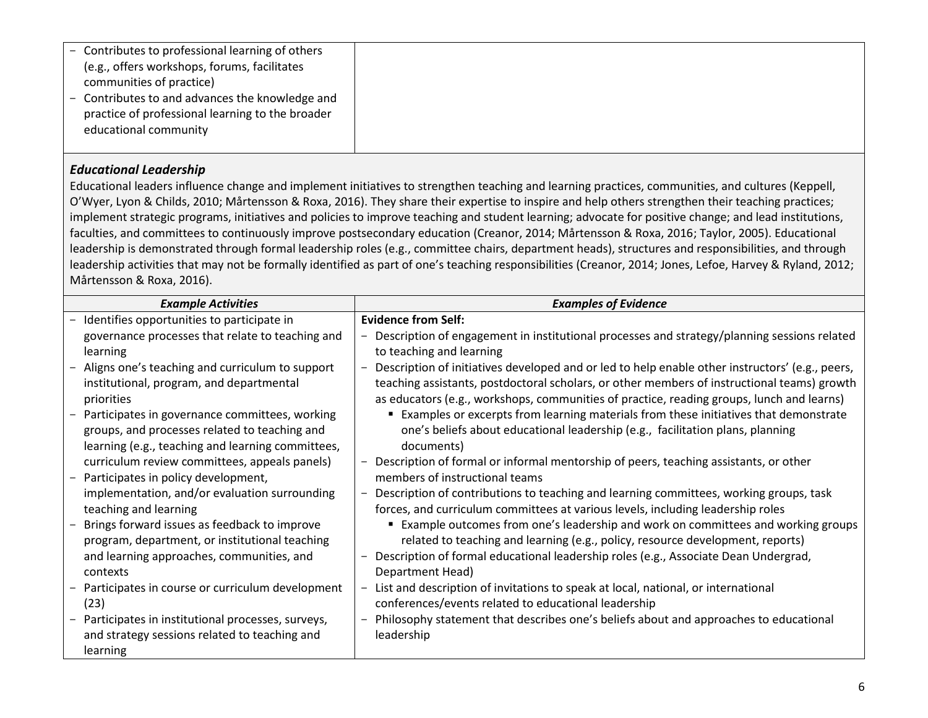| practice of professional learning to the broader<br>educational community |
|---------------------------------------------------------------------------|
|---------------------------------------------------------------------------|

### *Educational Leadership*

Educational leaders influence change and implement initiatives to strengthen teaching and learning practices, communities, and cultures (Keppell, O'Wyer, Lyon & Childs, 2010; Mårtensson & Roxa, 2016). They share their expertise to inspire and help others strengthen their teaching practices; implement strategic programs, initiatives and policies to improve teaching and student learning; advocate for positive change; and lead institutions, faculties, and committees to continuously improve postsecondary education (Creanor, 2014; Mårtensson & Roxa, 2016; Taylor, 2005). Educational leadership is demonstrated through formal leadership roles (e.g., committee chairs, department heads), structures and responsibilities, and through leadership activities that may not be formally identified as part of one's teaching responsibilities (Creanor, 2014; Jones, Lefoe, Harvey & Ryland, 2012; Mårtensson & Roxa, 2016).

| <b>Example Activities</b>                         | <b>Examples of Evidence</b>                                                                     |
|---------------------------------------------------|-------------------------------------------------------------------------------------------------|
| Identifies opportunities to participate in        | <b>Evidence from Self:</b>                                                                      |
| governance processes that relate to teaching and  | Description of engagement in institutional processes and strategy/planning sessions related     |
| learning                                          | to teaching and learning                                                                        |
| Aligns one's teaching and curriculum to support   | Description of initiatives developed and or led to help enable other instructors' (e.g., peers, |
| institutional, program, and departmental          | teaching assistants, postdoctoral scholars, or other members of instructional teams) growth     |
| priorities                                        | as educators (e.g., workshops, communities of practice, reading groups, lunch and learns)       |
| Participates in governance committees, working    | Examples or excerpts from learning materials from these initiatives that demonstrate            |
| groups, and processes related to teaching and     | one's beliefs about educational leadership (e.g., facilitation plans, planning                  |
| learning (e.g., teaching and learning committees, | documents)                                                                                      |
| curriculum review committees, appeals panels)     | Description of formal or informal mentorship of peers, teaching assistants, or other            |
| Participates in policy development,               | members of instructional teams                                                                  |
| implementation, and/or evaluation surrounding     | Description of contributions to teaching and learning committees, working groups, task          |
| teaching and learning                             | forces, and curriculum committees at various levels, including leadership roles                 |
| Brings forward issues as feedback to improve      | ■ Example outcomes from one's leadership and work on committees and working groups              |
| program, department, or institutional teaching    | related to teaching and learning (e.g., policy, resource development, reports)                  |
| and learning approaches, communities, and         | Description of formal educational leadership roles (e.g., Associate Dean Undergrad,             |
| contexts                                          | Department Head)                                                                                |
| Participates in course or curriculum development  | List and description of invitations to speak at local, national, or international               |
| (23)                                              | conferences/events related to educational leadership                                            |
| Participates in institutional processes, surveys, | Philosophy statement that describes one's beliefs about and approaches to educational           |
| and strategy sessions related to teaching and     | leadership                                                                                      |
| learning                                          |                                                                                                 |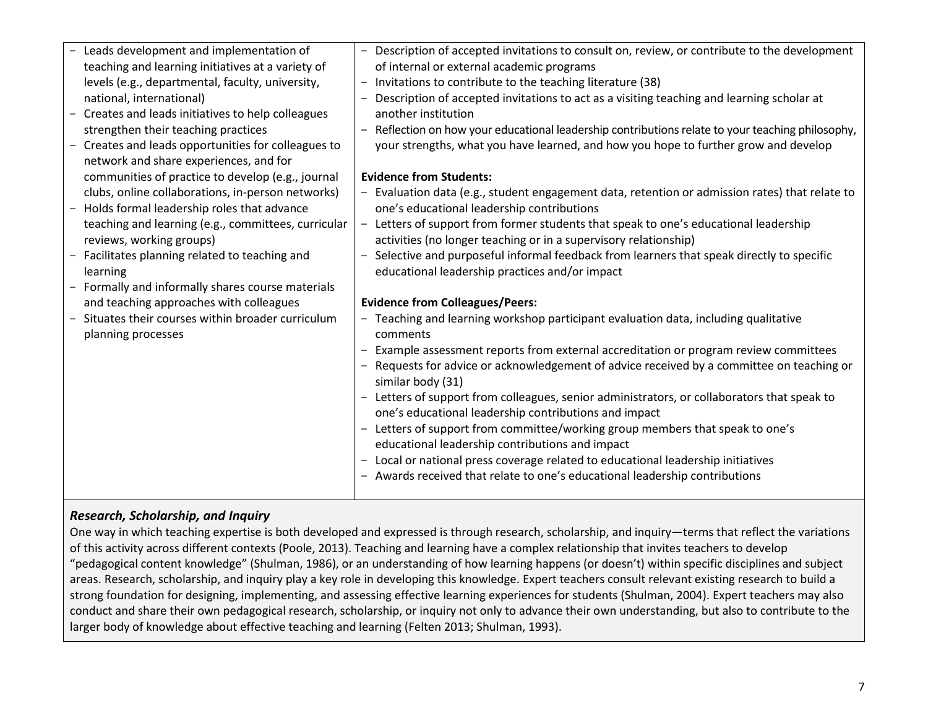| - Leads development and implementation of           | - Description of accepted invitations to consult on, review, or contribute to the development                                                                                                                      |
|-----------------------------------------------------|--------------------------------------------------------------------------------------------------------------------------------------------------------------------------------------------------------------------|
| teaching and learning initiatives at a variety of   | of internal or external academic programs                                                                                                                                                                          |
| levels (e.g., departmental, faculty, university,    | - Invitations to contribute to the teaching literature (38)                                                                                                                                                        |
| national, international)                            | - Description of accepted invitations to act as a visiting teaching and learning scholar at                                                                                                                        |
| - Creates and leads initiatives to help colleagues  | another institution                                                                                                                                                                                                |
| strengthen their teaching practices                 | - Reflection on how your educational leadership contributions relate to your teaching philosophy,                                                                                                                  |
| - Creates and leads opportunities for colleagues to | your strengths, what you have learned, and how you hope to further grow and develop                                                                                                                                |
| network and share experiences, and for              |                                                                                                                                                                                                                    |
| communities of practice to develop (e.g., journal   | <b>Evidence from Students:</b>                                                                                                                                                                                     |
| clubs, online collaborations, in-person networks)   | - Evaluation data (e.g., student engagement data, retention or admission rates) that relate to                                                                                                                     |
| - Holds formal leadership roles that advance        | one's educational leadership contributions                                                                                                                                                                         |
| teaching and learning (e.g., committees, curricular | - Letters of support from former students that speak to one's educational leadership                                                                                                                               |
| reviews, working groups)                            | activities (no longer teaching or in a supervisory relationship)                                                                                                                                                   |
| Facilitates planning related to teaching and        | - Selective and purposeful informal feedback from learners that speak directly to specific                                                                                                                         |
| learning                                            | educational leadership practices and/or impact                                                                                                                                                                     |
| Formally and informally shares course materials     |                                                                                                                                                                                                                    |
| and teaching approaches with colleagues             | <b>Evidence from Colleagues/Peers:</b>                                                                                                                                                                             |
| Situates their courses within broader curriculum    | - Teaching and learning workshop participant evaluation data, including qualitative                                                                                                                                |
| planning processes                                  | comments                                                                                                                                                                                                           |
|                                                     | - Example assessment reports from external accreditation or program review committees                                                                                                                              |
|                                                     | - Requests for advice or acknowledgement of advice received by a committee on teaching or                                                                                                                          |
|                                                     | similar body (31)                                                                                                                                                                                                  |
|                                                     | - Letters of support from colleagues, senior administrators, or collaborators that speak to                                                                                                                        |
|                                                     | one's educational leadership contributions and impact                                                                                                                                                              |
|                                                     | - Letters of support from committee/working group members that speak to one's                                                                                                                                      |
|                                                     |                                                                                                                                                                                                                    |
|                                                     |                                                                                                                                                                                                                    |
|                                                     |                                                                                                                                                                                                                    |
|                                                     | educational leadership contributions and impact<br>- Local or national press coverage related to educational leadership initiatives<br>- Awards received that relate to one's educational leadership contributions |

#### *Research, Scholarship, and Inquiry*

One way in which teaching expertise is both developed and expressed is through research, scholarship, and inquiry—terms that reflect the variations of this activity across different contexts (Poole, 2013). Teaching and learning have a complex relationship that invites teachers to develop "pedagogical content knowledge" (Shulman, 1986), or an understanding of how learning happens (or doesn't) within specific disciplines and subject areas. Research, scholarship, and inquiry play a key role in developing this knowledge. Expert teachers consult relevant existing research to build a strong foundation for designing, implementing, and assessing effective learning experiences for students (Shulman, 2004). Expert teachers may also conduct and share their own pedagogical research, scholarship, or inquiry not only to advance their own understanding, but also to contribute to the larger body of knowledge about effective teaching and learning (Felten 2013; Shulman, 1993).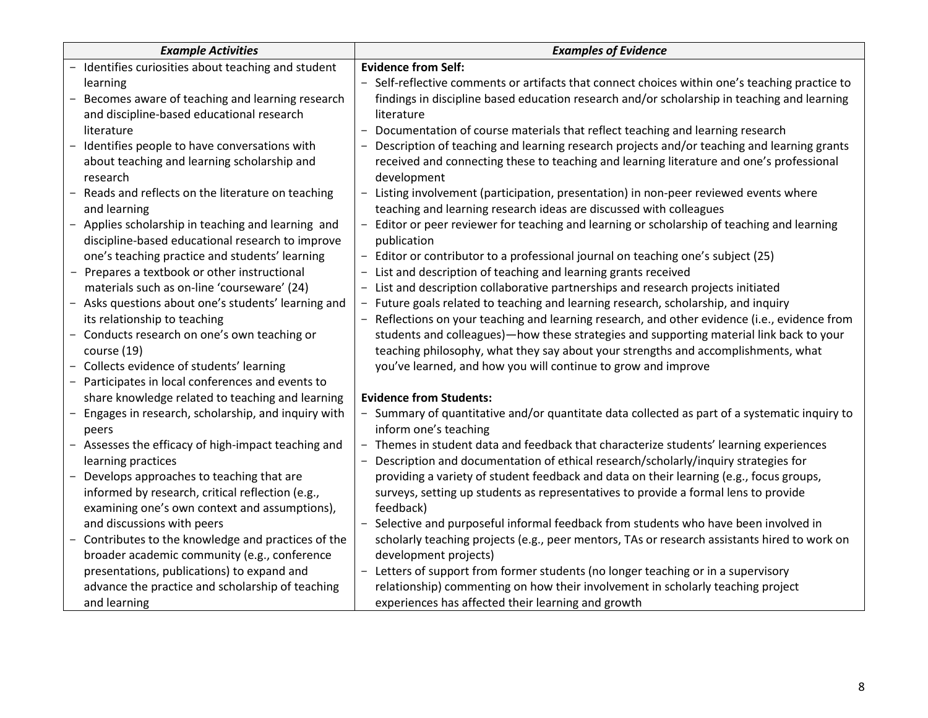|       | <b>Example Activities</b>                           | <b>Examples of Evidence</b>                                                                    |  |
|-------|-----------------------------------------------------|------------------------------------------------------------------------------------------------|--|
|       | Identifies curiosities about teaching and student   | <b>Evidence from Self:</b>                                                                     |  |
|       | learning                                            | - Self-reflective comments or artifacts that connect choices within one's teaching practice to |  |
|       | Becomes aware of teaching and learning research     | findings in discipline based education research and/or scholarship in teaching and learning    |  |
|       | and discipline-based educational research           | literature                                                                                     |  |
|       | literature                                          | - Documentation of course materials that reflect teaching and learning research                |  |
|       | Identifies people to have conversations with        | - Description of teaching and learning research projects and/or teaching and learning grants   |  |
|       | about teaching and learning scholarship and         | received and connecting these to teaching and learning literature and one's professional       |  |
|       | research                                            | development                                                                                    |  |
|       | Reads and reflects on the literature on teaching    | - Listing involvement (participation, presentation) in non-peer reviewed events where          |  |
|       | and learning                                        | teaching and learning research ideas are discussed with colleagues                             |  |
|       | Applies scholarship in teaching and learning and    | - Editor or peer reviewer for teaching and learning or scholarship of teaching and learning    |  |
|       | discipline-based educational research to improve    | publication                                                                                    |  |
|       | one's teaching practice and students' learning      | - Editor or contributor to a professional journal on teaching one's subject (25)               |  |
|       | - Prepares a textbook or other instructional        | - List and description of teaching and learning grants received                                |  |
|       | materials such as on-line 'courseware' (24)         | - List and description collaborative partnerships and research projects initiated              |  |
|       | - Asks questions about one's students' learning and | - Future goals related to teaching and learning research, scholarship, and inquiry             |  |
|       | its relationship to teaching                        | - Reflections on your teaching and learning research, and other evidence (i.e., evidence from  |  |
|       | - Conducts research on one's own teaching or        | students and colleagues)—how these strategies and supporting material link back to your        |  |
|       | course (19)                                         | teaching philosophy, what they say about your strengths and accomplishments, what              |  |
|       | - Collects evidence of students' learning           | you've learned, and how you will continue to grow and improve                                  |  |
|       | Participates in local conferences and events to     |                                                                                                |  |
|       | share knowledge related to teaching and learning    | <b>Evidence from Students:</b>                                                                 |  |
|       | Engages in research, scholarship, and inquiry with  | - Summary of quantitative and/or quantitate data collected as part of a systematic inquiry to  |  |
| peers |                                                     | inform one's teaching                                                                          |  |
|       | Assesses the efficacy of high-impact teaching and   | - Themes in student data and feedback that characterize students' learning experiences         |  |
|       | learning practices                                  | Description and documentation of ethical research/scholarly/inquiry strategies for             |  |
|       | Develops approaches to teaching that are            | providing a variety of student feedback and data on their learning (e.g., focus groups,        |  |
|       | informed by research, critical reflection (e.g.,    | surveys, setting up students as representatives to provide a formal lens to provide            |  |
|       | examining one's own context and assumptions),       | feedback)                                                                                      |  |
|       | and discussions with peers                          | - Selective and purposeful informal feedback from students who have been involved in           |  |
|       | Contributes to the knowledge and practices of the   | scholarly teaching projects (e.g., peer mentors, TAs or research assistants hired to work on   |  |
|       | broader academic community (e.g., conference        | development projects)                                                                          |  |
|       | presentations, publications) to expand and          | - Letters of support from former students (no longer teaching or in a supervisory              |  |
|       | advance the practice and scholarship of teaching    | relationship) commenting on how their involvement in scholarly teaching project                |  |
|       | and learning                                        | experiences has affected their learning and growth                                             |  |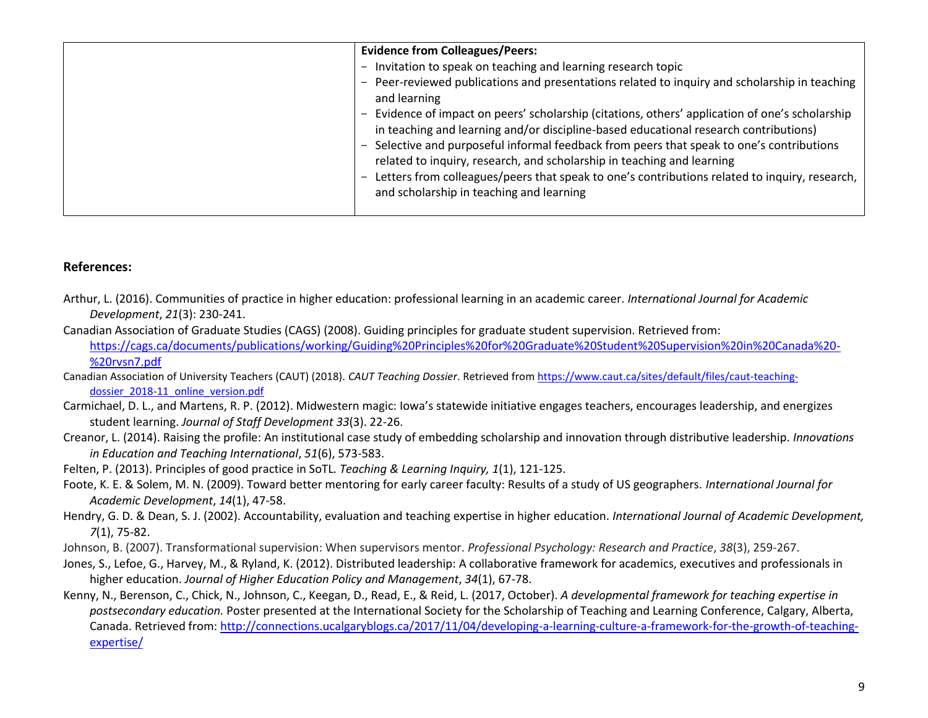| <b>Evidence from Colleagues/Peers:</b>                                 | - Peer-reviewed publications and presentations related to inquiry and scholarship in teaching   |
|------------------------------------------------------------------------|-------------------------------------------------------------------------------------------------|
| - Invitation to speak on teaching and learning research topic          | - Evidence of impact on peers' scholarship (citations, others' application of one's scholarship |
| and learning                                                           | in teaching and learning and/or discipline-based educational research contributions)            |
| related to inquiry, research, and scholarship in teaching and learning | Selective and purposeful informal feedback from peers that speak to one's contributions         |
| and scholarship in teaching and learning                               | Letters from colleagues/peers that speak to one's contributions related to inquiry, research,   |

#### **References:**

- Arthur, L. (2016). Communities of practice in higher education: professional learning in an academic career. *International Journal for Academic Development*, *21*(3): 230-241.
- Canadian Association of Graduate Studies (CAGS) (2008). Guiding principles for graduate student supervision. Retrieved from: [https://cags.ca/documents/publications/working/Guiding%20Principles%20for%20Graduate%20Student%20Supervision%20in%20Canada%20-](https://cags.ca/documents/publications/working/Guiding%20Principles%20for%20Graduate%20Student%20Supervision%20in%20Canada%20-%20rvsn7.pdf) [%20rvsn7.pdf](https://cags.ca/documents/publications/working/Guiding%20Principles%20for%20Graduate%20Student%20Supervision%20in%20Canada%20-%20rvsn7.pdf)
- Canadian Association of University Teachers (CAUT) (2018). *CAUT Teaching Dossier*. Retrieved fro[m https://www.caut.ca/sites/default/files/caut-teaching](https://www.caut.ca/sites/default/files/caut-teaching-%09dossier_2018-11_online_version.pdf)[dossier\\_2018-11\\_online\\_version.pdf](https://www.caut.ca/sites/default/files/caut-teaching-%09dossier_2018-11_online_version.pdf)
- Carmichael, D. L., and Martens, R. P. (2012). Midwestern magic: Iowa's statewide initiative engages teachers, encourages leadership, and energizes student learning. *Journal of Staff Development 33*(3). 22-26.
- Creanor, L. (2014). Raising the profile: An institutional case study of embedding scholarship and innovation through distributive leadership. *Innovations in Education and Teaching International*, *51*(6), 573-583.
- Felten, P. (2013). [Principles of good practice in SoTL](http://tlijournal.com/tli/index.php/TLI/article/view/39)*. Teaching & Learning Inquiry, 1*(1), 121-125.
- Foote, K. E. & Solem, M. N. (2009). Toward better mentoring for early career faculty: Results of a study of US geographers. *International Journal for Academic Development*, *14*(1), 47-58.
- Hendry, G. D. & Dean, S. J. (2002). Accountability, evaluation and teaching expertise in higher education. *International Journal of Academic Development, 7*(1), 75-82.
- Johnson, B. (2007). Transformational supervision: When supervisors mentor. *Professional Psychology: Research and Practice*, *38*(3), 259-267.
- Jones, S., Lefoe, G., Harvey, M., & Ryland, K. (2012). Distributed leadership: A collaborative framework for academics, executives and professionals in higher education. *Journal of Higher Education Policy and Management*, *34*(1), 67-78.
- Kenny, N., Berenson, C., Chick, N., Johnson, C., Keegan, D., Read, E., & Reid, L. (2017, October). *A developmental framework for teaching expertise in postsecondary education.* Poster presented at the International Society for the Scholarship of Teaching and Learning Conference, Calgary, Alberta, Canada. Retrieved from: [http://connections.ucalgaryblogs.ca/2017/11/04/developing-a-learning-culture-a-framework-for-the-growth-of-teaching](http://connections.ucalgaryblogs.ca/2017/11/04/developing-a-learning-culture-a-framework-for-the-growth-of-teaching-expertise/)[expertise/](http://connections.ucalgaryblogs.ca/2017/11/04/developing-a-learning-culture-a-framework-for-the-growth-of-teaching-expertise/)